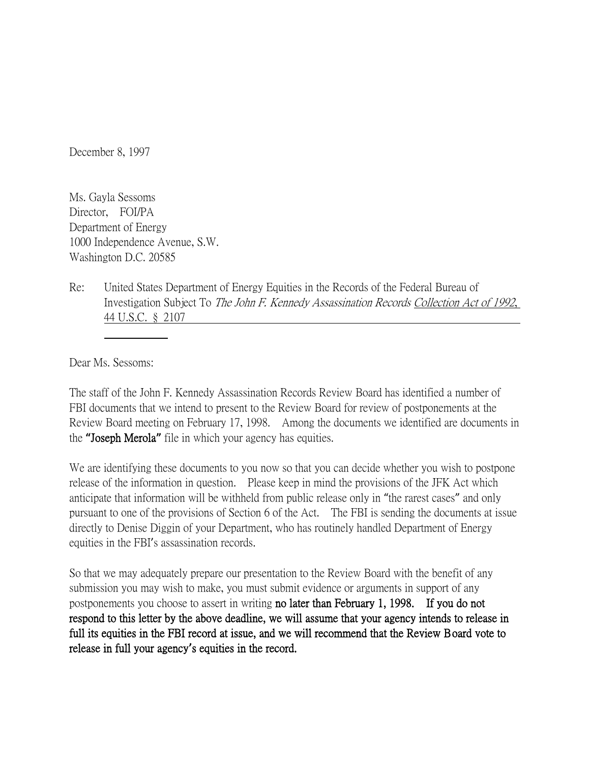December 8, 1997

Ms. Gayla Sessoms Director, FOI/PA Department of Energy 1000 Independence Avenue, S.W. Washington D.C. 20585

Re: United States Department of Energy Equities in the Records of the Federal Bureau of Investigation Subject To The John F. Kennedy Assassination Records Collection Act of 1992, 44 U.S.C. § 2107

Dear Ms. Sessoms:

The staff of the John F. Kennedy Assassination Records Review Board has identified a number of FBI documents that we intend to present to the Review Board for review of postponements at the Review Board meeting on February 17, 1998. Among the documents we identified are documents in the **"**Joseph Merola**"** file in which your agency has equities.

We are identifying these documents to you now so that you can decide whether you wish to postpone release of the information in question. Please keep in mind the provisions of the JFK Act which anticipate that information will be withheld from public release only in "the rarest cases" and only pursuant to one of the provisions of Section 6 of the Act. The FBI is sending the documents at issue directly to Denise Diggin of your Department, who has routinely handled Department of Energy equities in the FBI's assassination records.

So that we may adequately prepare our presentation to the Review Board with the benefit of any submission you may wish to make, you must submit evidence or arguments in support of any postponements you choose to assert in writing no later than February 1, 1998. If you do not respond to this letter by the above deadline, we will assume that your agency intends to release in full its equities in the FBI record at issue, and we will recommend that the Review Board vote to release in full your agency**'**s equities in the record.